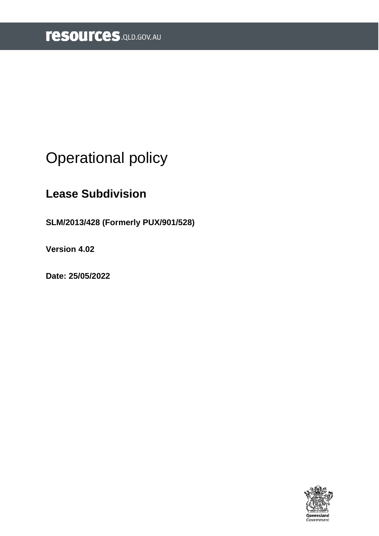# <span id="page-0-0"></span>Operational policy

# **Lease Subdivision**

**SLM/2013/428 (Formerly PUX/901/528)** 

**Version 4.02** 

**Date: 25/05/2022** 

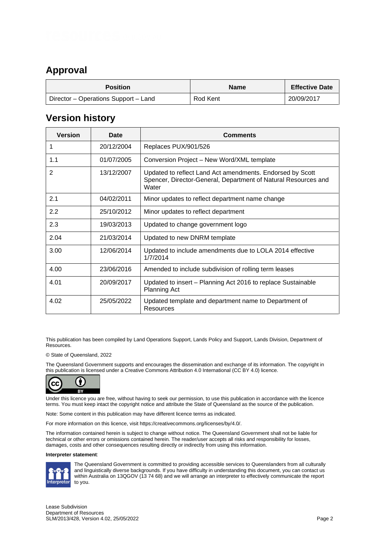### <span id="page-1-0"></span>**Approval**

| <b>Position</b>                      | <b>Name</b> | <b>Effective Date</b> |
|--------------------------------------|-------------|-----------------------|
| Director – Operations Support – Land | Rod Kent    | 20/09/2017            |

### <span id="page-1-1"></span>**Version history**

| <b>Version</b> | Date       | <b>Comments</b>                                                                                                                      |
|----------------|------------|--------------------------------------------------------------------------------------------------------------------------------------|
| 1              | 20/12/2004 | Replaces PUX/901/526                                                                                                                 |
| 1.1            | 01/07/2005 | Conversion Project - New Word/XML template                                                                                           |
| $\overline{2}$ | 13/12/2007 | Updated to reflect Land Act amendments. Endorsed by Scott<br>Spencer, Director-General, Department of Natural Resources and<br>Water |
| 2.1            | 04/02/2011 | Minor updates to reflect department name change                                                                                      |
| 2.2            | 25/10/2012 | Minor updates to reflect department                                                                                                  |
| 2.3            | 19/03/2013 | Updated to change government logo                                                                                                    |
| 2.04           | 21/03/2014 | Updated to new DNRM template                                                                                                         |
| 3.00           | 12/06/2014 | Updated to include amendments due to LOLA 2014 effective<br>1/7/2014                                                                 |
| 4.00           | 23/06/2016 | Amended to include subdivision of rolling term leases                                                                                |
| 4.01           | 20/09/2017 | Updated to insert – Planning Act 2016 to replace Sustainable<br><b>Planning Act</b>                                                  |
| 4.02           | 25/05/2022 | Updated template and department name to Department of<br><b>Resources</b>                                                            |

This publication has been compiled by Land Operations Support, Lands Policy and Support, Lands Division, Department of Resources.

#### © State of Queensland, 2022

The Queensland Government supports and encourages the dissemination and exchange of its information. The copyright in this publication is licensed under a Creative Commons Attribution 4.0 International (CC BY 4.0) licence.



Under this licence you are free, without having to seek our permission, to use this publication in accordance with the licence terms. You must keep intact the copyright notice and attribute the State of Queensland as the source of the publication.

Note: Some content in this publication may have different licence terms as indicated.

For more information on this licence, visit https://creativecommons.org/licenses/by/4.0/.

The information contained herein is subject to change without notice. The Queensland Government shall not be liable for technical or other errors or omissions contained herein. The reader/user accepts all risks and responsibility for losses, damages, costs and other consequences resulting directly or indirectly from using this information.

#### **Interpreter statement**:



The Queensland Government is committed to providing accessible services to Queenslanders from all culturally and linguistically diverse backgrounds. If you have difficulty in understanding this document, you can contact us within Australia on 13QGOV (13 74 68) and we will arrange an interpreter to effectively communicate the report to you.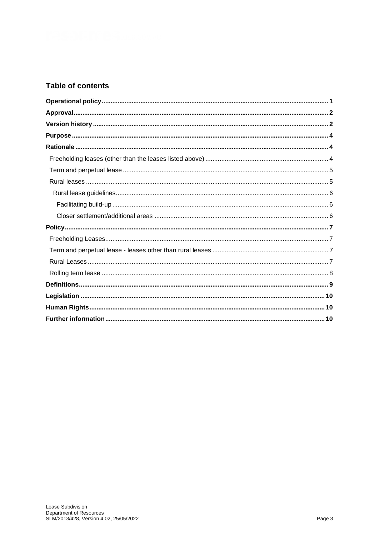#### **Table of contents**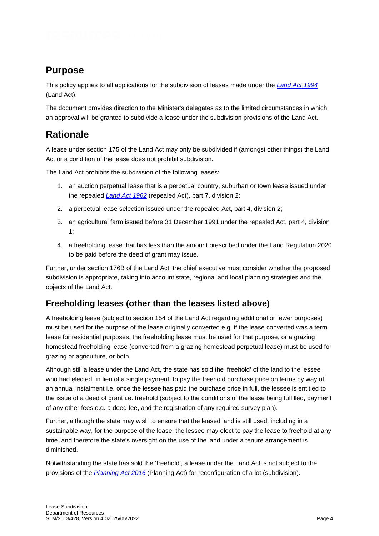# <span id="page-3-0"></span>**Purpose**

This policy applies to all applications for the subdivision of leases made under the *[Land Act 1994](https://www.legislation.qld.gov.au/view/html/inforce/current/act-1994-081)* (Land Act).

The document provides direction to the Minister's delegates as to the limited circumstances in which an approval will be granted to subdivide a lease under the subdivision provisions of the Land Act.

## <span id="page-3-1"></span>**Rationale**

A lease under section 175 of the Land Act may only be subdivided if (amongst other things) the Land Act or a condition of the lease does not prohibit subdivision.

The Land Act prohibits the subdivision of the following leases:

- 1. an auction perpetual lease that is a perpetual country, suburban or town lease issued under the repealed *[Land Act 1962](http://classic.austlii.edu.au/au/legis/qld/hist_act/lao1962n4294/)* (repealed Act), part 7, division 2;
- 2. a perpetual lease selection issued under the repealed Act, part 4, division 2;
- 3. an agricultural farm issued before 31 December 1991 under the repealed Act, part 4, division 1;
- 4. a freeholding lease that has less than the amount prescribed under the Land Regulation 2020 to be paid before the deed of grant may issue.

Further, under section 176B of the Land Act, the chief executive must consider whether the proposed subdivision is appropriate, taking into account state, regional and local planning strategies and the objects of the Land Act.

### <span id="page-3-2"></span>**Freeholding leases (other than the leases listed above)**

A freeholding lease (subject to section 154 of the Land Act regarding additional or fewer purposes) must be used for the purpose of the lease originally converted e.g. if the lease converted was a term lease for residential purposes, the freeholding lease must be used for that purpose, or a grazing homestead freeholding lease (converted from a grazing homestead perpetual lease) must be used for grazing or agriculture, or both.

Although still a lease under the Land Act, the state has sold the 'freehold' of the land to the lessee who had elected, in lieu of a single payment, to pay the freehold purchase price on terms by way of an annual instalment i.e. once the lessee has paid the purchase price in full, the lessee is entitled to the issue of a deed of grant i.e. freehold (subject to the conditions of the lease being fulfilled, payment of any other fees e.g. a deed fee, and the registration of any required survey plan).

Further, although the state may wish to ensure that the leased land is still used, including in a sustainable way, for the purpose of the lease, the lessee may elect to pay the lease to freehold at any time, and therefore the state's oversight on the use of the land under a tenure arrangement is diminished.

Notwithstanding the state has sold the 'freehold', a lease under the Land Act is not subject to the provisions of the *[Planning Act 2016](https://www.legislation.qld.gov.au/view/html/inforce/current/act-2016-025)* (Planning Act) for reconfiguration of a lot (subdivision).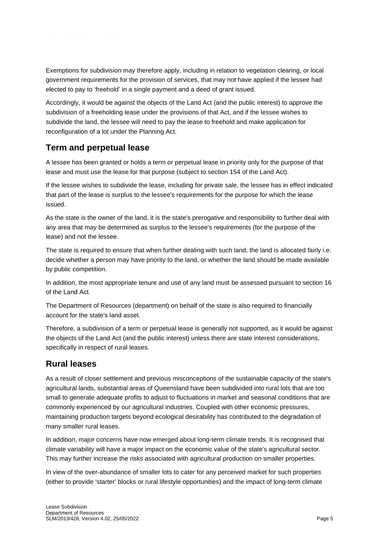Exemptions for subdivision may therefore apply, including in relation to vegetation clearing, or local government requirements for the provision of services, that may not have applied if the lessee had elected to pay to 'freehold' in a single payment and a deed of grant issued.

Accordingly, it would be against the objects of the Land Act (and the public interest) to approve the subdivision of a freeholding lease under the provisions of that Act, and if the lessee wishes to subdivide the land, the lessee will need to pay the lease to freehold and make application for reconfiguration of a lot under the Planning Act.

### <span id="page-4-0"></span>**Term and perpetual lease**

A lessee has been granted or holds a term or perpetual lease in priority only for the purpose of that lease and must use the lease for that purpose (subject to section 154 of the Land Act).

If the lessee wishes to subdivide the lease, including for private sale, the lessee has in effect indicated that part of the lease is surplus to the lessee's requirements for the purpose for which the lease issued.

As the state is the owner of the land, it is the state's prerogative and responsibility to further deal with any area that may be determined as surplus to the lessee's requirements (for the purpose of the lease) and not the lessee.

The state is required to ensure that when further dealing with such land, the land is allocated fairly i.e. decide whether a person may have priority to the land, or whether the land should be made available by public competition.

In addition, the most appropriate tenure and use of any land must be assessed pursuant to section 16 of the Land Act.

The Department of Resources (department) on behalf of the state is also required to financially account for the state's land asset.

Therefore, a subdivision of a term or perpetual lease is generally not supported, as it would be against the objects of the Land Act (and the public interest) unless there are state interest considerations, specifically in respect of rural leases.

### <span id="page-4-1"></span>**Rural leases**

As a result of closer settlement and previous misconceptions of the sustainable capacity of the state's agricultural lands, substantial areas of Queensland have been subdivided into rural lots that are too small to generate adequate profits to adjust to fluctuations in market and seasonal conditions that are commonly experienced by our agricultural industries. Coupled with other economic pressures, maintaining production targets beyond ecological desirability has contributed to the degradation of many smaller rural leases.

In addition, major concerns have now emerged about long-term climate trends. It is recognised that climate variability will have a major impact on the economic value of the state's agricultural sector. This may further increase the risks associated with agricultural production on smaller properties.

In view of the over-abundance of smaller lots to cater for any perceived market for such properties (either to provide 'starter' blocks or rural lifestyle opportunities) and the impact of long-term climate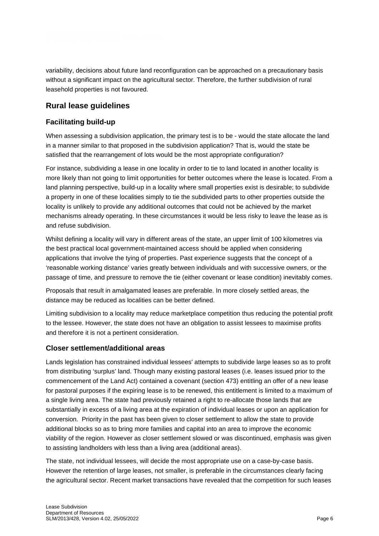variability, decisions about future land reconfiguration can be approached on a precautionary basis without a significant impact on the agricultural sector. Therefore, the further subdivision of rural leasehold properties is not favoured.

#### <span id="page-5-0"></span>**Rural lease guidelines**

#### <span id="page-5-1"></span>**Facilitating build-up**

When assessing a subdivision application, the primary test is to be - would the state allocate the land in a manner similar to that proposed in the subdivision application? That is, would the state be satisfied that the rearrangement of lots would be the most appropriate configuration?

For instance, subdividing a lease in one locality in order to tie to land located in another locality is more likely than not going to limit opportunities for better outcomes where the lease is located. From a land planning perspective, build-up in a locality where small properties exist is desirable; to subdivide a property in one of these localities simply to tie the subdivided parts to other properties outside the locality is unlikely to provide any additional outcomes that could not be achieved by the market mechanisms already operating. In these circumstances it would be less risky to leave the lease as is and refuse subdivision.

Whilst defining a locality will vary in different areas of the state, an upper limit of 100 kilometres via the best practical local government-maintained access should be applied when considering applications that involve the tying of properties. Past experience suggests that the concept of a 'reasonable working distance' varies greatly between individuals and with successive owners, or the passage of time, and pressure to remove the tie (either covenant or lease condition) inevitably comes.

Proposals that result in amalgamated leases are preferable. In more closely settled areas, the distance may be reduced as localities can be better defined.

Limiting subdivision to a locality may reduce marketplace competition thus reducing the potential profit to the lessee. However, the state does not have an obligation to assist lessees to maximise profits and therefore it is not a pertinent consideration.

#### <span id="page-5-2"></span>**Closer settlement/additional areas**

Lands legislation has constrained individual lessees' attempts to subdivide large leases so as to profit from distributing 'surplus' land. Though many existing pastoral leases (i.e. leases issued prior to the commencement of the Land Act) contained a covenant (section 473) entitling an offer of a new lease for pastoral purposes if the expiring lease is to be renewed, this entitlement is limited to a maximum of a single living area. The state had previously retained a right to re-allocate those lands that are substantially in excess of a living area at the expiration of individual leases or upon an application for conversion. Priority in the past has been given to closer settlement to allow the state to provide additional blocks so as to bring more families and capital into an area to improve the economic viability of the region. However as closer settlement slowed or was discontinued, emphasis was given to assisting landholders with less than a living area (additional areas).

The state, not individual lessees, will decide the most appropriate use on a case-by-case basis. However the retention of large leases, not smaller, is preferable in the circumstances clearly facing the agricultural sector. Recent market transactions have revealed that the competition for such leases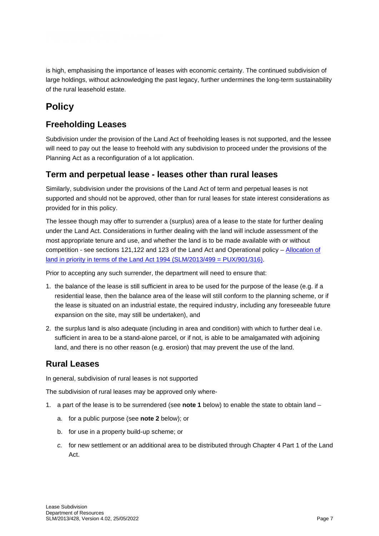is high, emphasising the importance of leases with economic certainty. The continued subdivision of large holdings, without acknowledging the past legacy, further undermines the long-term sustainability of the rural leasehold estate.

## <span id="page-6-0"></span>**Policy**

### <span id="page-6-1"></span>**Freeholding Leases**

Subdivision under the provision of the Land Act of freeholding leases is not supported, and the lessee will need to pay out the lease to freehold with any subdivision to proceed under the provisions of the Planning Act as a reconfiguration of a lot application.

### <span id="page-6-2"></span>**Term and perpetual lease - leases other than rural leases**

Similarly, subdivision under the provisions of the Land Act of term and perpetual leases is not supported and should not be approved, other than for rural leases for state interest considerations as provided for in this policy.

The lessee though may offer to surrender a (surplus) area of a lease to the state for further dealing under the Land Act. Considerations in further dealing with the land will include assessment of the most appropriate tenure and use, and whether the land is to be made available with or without competition - see sections 121,122 and 123 of the Land Act and Operational policy – [Allocation of](https://www.resources.qld.gov.au/?a=109113:policy_registry/allocation-land-in-priority.pdf&ver=4.01)  [land in priority in terms of the Land Act 1994 \(SLM/2013/499 = PUX/901/316\).](https://www.resources.qld.gov.au/?a=109113:policy_registry/allocation-land-in-priority.pdf&ver=4.01)

Prior to accepting any such surrender, the department will need to ensure that:

- 1. the balance of the lease is still sufficient in area to be used for the purpose of the lease (e.g. if a residential lease, then the balance area of the lease will still conform to the planning scheme, or if the lease is situated on an industrial estate, the required industry, including any foreseeable future expansion on the site, may still be undertaken), and
- 2. the surplus land is also adequate (including in area and condition) with which to further deal i.e. sufficient in area to be a stand-alone parcel, or if not, is able to be amalgamated with adjoining land, and there is no other reason (e.g. erosion) that may prevent the use of the land.

### <span id="page-6-3"></span>**Rural Leases**

In general, subdivision of rural leases is not supported

The subdivision of rural leases may be approved only where-

- 1. a part of the lease is to be surrendered (see **note 1** below) to enable the state to obtain land
	- a. for a public purpose (see **note 2** below); or
	- b. for use in a property build-up scheme; or
	- *c.* for new settlement or an additional area to be distributed through Chapter 4 Part 1 of the Land Act.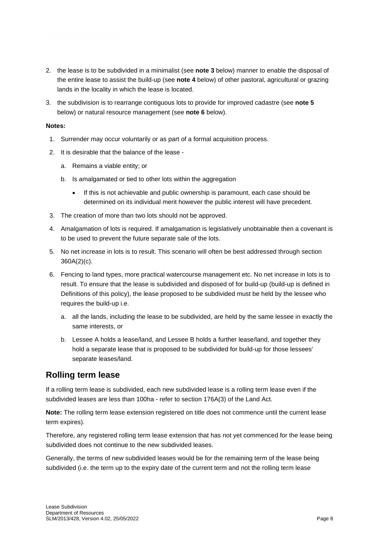- 2. the lease is to be subdivided in a minimalist (see **note 3** below) manner to enable the disposal of the entire lease to assist the build-up (see **note 4** below) of other pastoral, agricultural or grazing lands in the locality in which the lease is located.
- 3. the subdivision is to rearrange contiguous lots to provide for improved cadastre (see **note 5** below) or natural resource management (see **note 6** below).

#### **Notes:**

- 1. Surrender may occur voluntarily or as part of a formal acquisition process.
- 2. It is desirable that the balance of the lease
	- a. Remains a viable entity; or
	- b. Is amalgamated or tied to other lots within the aggregation
		- If this is not achievable and public ownership is paramount, each case should be determined on its individual merit however the public interest will have precedent.
- 3. The creation of more than two lots should not be approved.
- 4. Amalgamation of lots is required. If amalgamation is legislatively unobtainable then a covenant is to be used to prevent the future separate sale of the lots.
- 5. No net increase in lots is to result. This scenario will often be best addressed through section 360A(2)(c).
- 6. Fencing to land types, more practical watercourse management etc. No net increase in lots is to result. To ensure that the lease is subdivided and disposed of for build-up (build-up is defined in Definitions of this policy), the lease proposed to be subdivided must be held by the lessee who requires the build-up i.e.
	- a. all the lands, including the lease to be subdivided, are held by the same lessee in exactly the same interests, or
	- b. Lessee A holds a lease/land, and Lessee B holds a further lease/land, and together they hold a separate lease that is proposed to be subdivided for build-up for those lessees' separate leases/land.

### <span id="page-7-0"></span>**Rolling term lease**

If a rolling term lease is subdivided, each new subdivided lease is a rolling term lease even if the subdivided leases are less than 100ha - refer to section 176A(3) of the Land Act.

**Note:** The rolling term lease extension registered on title does not commence until the current lease term expires).

Therefore, any registered rolling term lease extension that has not yet commenced for the lease being subdivided does not continue to the new subdivided leases.

Generally, the terms of new subdivided leases would be for the remaining term of the lease being subdivided (i.e. the term up to the expiry date of the current term and not the rolling term lease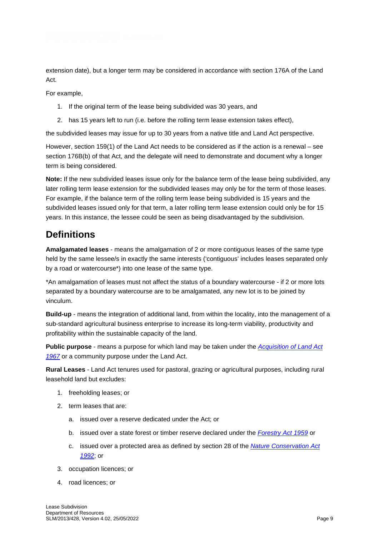extension date), but a longer term may be considered in accordance with section 176A of the Land Act.

For example,

- 1. If the original term of the lease being subdivided was 30 years, and
- 2. has 15 years left to run (i.e. before the rolling term lease extension takes effect),

the subdivided leases may issue for up to 30 years from a native title and Land Act perspective.

However, section 159(1) of the Land Act needs to be considered as if the action is a renewal – see section 176B(b) of that Act, and the delegate will need to demonstrate and document why a longer term is being considered.

**Note:** If the new subdivided leases issue only for the balance term of the lease being subdivided, any later rolling term lease extension for the subdivided leases may only be for the term of those leases. For example, if the balance term of the rolling term lease being subdivided is 15 years and the subdivided leases issued only for that term, a later rolling term lease extension could only be for 15 years. In this instance, the lessee could be seen as being disadvantaged by the subdivision.

### <span id="page-8-0"></span>**Definitions**

**Amalgamated leases** - means the amalgamation of 2 or more contiguous leases of the same type held by the same lessee/s in exactly the same interests ('contiguous' includes leases separated only by a road or watercourse\*) into one lease of the same type.

\*An amalgamation of leases must not affect the status of a boundary watercourse - if 2 or more lots separated by a boundary watercourse are to be amalgamated, any new lot is to be joined by vinculum.

**Build-up** - means the integration of additional land, from within the locality, into the management of a sub-standard agricultural business enterprise to increase its long-term viability, productivity and profitability within the sustainable capacity of the land.

**Public purpose** - means a purpose for which land may be taken under the *[Acquisition of Land Act](https://www.legislation.qld.gov.au/view/html/inforce/current/act-1967-048)  [1967](https://www.legislation.qld.gov.au/view/html/inforce/current/act-1967-048)* or a community purpose under the Land Act.

**Rural Leases** - Land Act tenures used for pastoral, grazing or agricultural purposes, including rural leasehold land but excludes:

- 1. freeholding leases; or
- 2. term leases that are:
	- a. issued over a reserve dedicated under the Act; or
	- b. issued over a state forest or timber reserve declared under the *[Forestry Act 1959](https://www.legislation.qld.gov.au/view/html/inforce/current/act-1959-058)* or
	- c. issued over a protected area as defined by section 28 of the *[Nature Conservation Act](https://www.legislation.qld.gov.au/view/html/inforce/current/act-1992-020)  [1992](https://www.legislation.qld.gov.au/view/html/inforce/current/act-1992-020)*; or
- 3. occupation licences; or
- 4. road licences; or